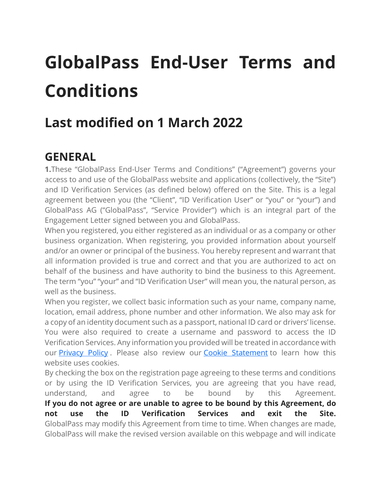# **GlobalPass End-User Terms and Conditions**

# **Last modified on 1 March 2022**

## **GENERAL**

**1.**These "GlobalPass End-User Terms and Conditions" ("Agreement") governs your access to and use of the GlobalPass website and applications (collectively, the "Site") and ID Verification Services (as defined below) offered on the Site. This is a legal agreement between you (the "Client", "ID Verification User" or "you" or "your") and GlobalPass AG ("GlobalPass", "Service Provider") which is an integral part of the Engagement Letter signed between you and GlobalPass.

When you registered, you either registered as an individual or as a company or other business organization. When registering, you provided information about yourself and/or an owner or principal of the business. You hereby represent and warrant that all information provided is true and correct and that you are authorized to act on behalf of the business and have authority to bind the business to this Agreement. The term "you" "your" and "ID Verification User" will mean you, the natural person, as well as the business.

When you register, we collect basic information such as your name, company name, location, email address, phone number and other information. We also may ask for a copy of an identity document such as a passport, national ID card or drivers' license. You were also required to create a username and password to access the ID Verification Services. Any information you provided will be treated in accordance with our [Privacy](https://globalpass.ch/privacy-policy) Policy . Please also review our Cookie [Statement](https://globalpass.ch/cookie-statement) to learn how this website uses cookies.

By checking the box on the registration page agreeing to these terms and conditions or by using the ID Verification Services, you are agreeing that you have read, understand, and agree to be bound by this Agreement. **If you do not agree or are unable to agree to be bound by this Agreement, do not use the ID Verification Services and exit the Site.** GlobalPass may modify this Agreement from time to time. When changes are made, GlobalPass will make the revised version available on this webpage and will indicate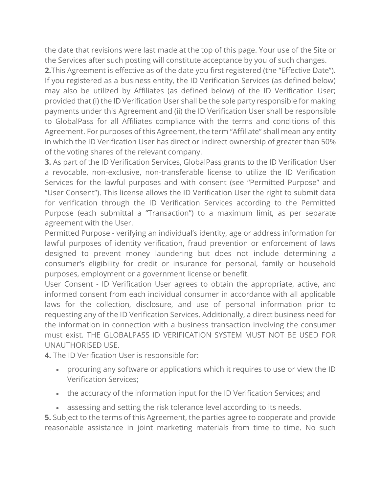the date that revisions were last made at the top of this page. Your use of the Site or the Services after such posting will constitute acceptance by you of such changes.

**2.**This Agreement is effective as of the date you first registered (the "Effective Date"). If you registered as a business entity, the ID Verification Services (as defined below) may also be utilized by Affiliates (as defined below) of the ID Verification User; provided that (i) the ID Verification User shall be the sole party responsible for making payments under this Agreement and (ii) the ID Verification User shall be responsible to GlobalPass for all Affiliates compliance with the terms and conditions of this Agreement. For purposes of this Agreement, the term "Affiliate" shall mean any entity in which the ID Verification User has direct or indirect ownership of greater than 50% of the voting shares of the relevant company.

**3.** As part of the ID Verification Services, GlobalPass grants to the ID Verification User a revocable, non-exclusive, non-transferable license to utilize the ID Verification Services for the lawful purposes and with consent (see "Permitted Purpose" and "User Consent"). This license allows the ID Verification User the right to submit data for verification through the ID Verification Services according to the Permitted Purpose (each submittal a "Transaction") to a maximum limit, as per separate agreement with the User.

Permitted Purpose - verifying an individual's identity, age or address information for lawful purposes of identity verification, fraud prevention or enforcement of laws designed to prevent money laundering but does not include determining a consumer's eligibility for credit or insurance for personal, family or household purposes, employment or a government license or benefit.

User Consent - ID Verification User agrees to obtain the appropriate, active, and informed consent from each individual consumer in accordance with all applicable laws for the collection, disclosure, and use of personal information prior to requesting any of the ID Verification Services. Additionally, a direct business need for the information in connection with a business transaction involving the consumer must exist. THE GLOBALPASS ID VERIFICATION SYSTEM MUST NOT BE USED FOR UNAUTHORISED USE.

**4.** The ID Verification User is responsible for:

- procuring any software or applications which it requires to use or view the ID Verification Services;
- the accuracy of the information input for the ID Verification Services; and
- assessing and setting the risk tolerance level according to its needs.

**5.** Subject to the terms of this Agreement, the parties agree to cooperate and provide reasonable assistance in joint marketing materials from time to time. No such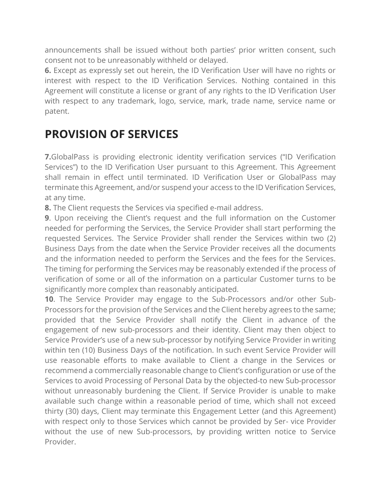announcements shall be issued without both parties' prior written consent, such consent not to be unreasonably withheld or delayed.

**6.** Except as expressly set out herein, the ID Verification User will have no rights or interest with respect to the ID Verification Services. Nothing contained in this Agreement will constitute a license or grant of any rights to the ID Verification User with respect to any trademark, logo, service, mark, trade name, service name or patent.

### **PROVISION OF SERVICES**

**7.**GlobalPass is providing electronic identity verification services ("ID Verification Services") to the ID Verification User pursuant to this Agreement. This Agreement shall remain in effect until terminated. ID Verification User or GlobalPass may terminate this Agreement, and/or suspend your access to the ID Verification Services, at any time.

**8.** The Client requests the Services via specified e-mail address.

**9**. Upon receiving the Client's request and the full information on the Customer needed for performing the Services, the Service Provider shall start performing the requested Services. The Service Provider shall render the Services within two (2) Business Days from the date when the Service Provider receives all the documents and the information needed to perform the Services and the fees for the Services. The timing for performing the Services may be reasonably extended if the process of verification of some or all of the information on a particular Customer turns to be significantly more complex than reasonably anticipated.

**10**. The Service Provider may engage to the Sub-Processors and/or other Sub-Processors for the provision of the Services and the Client hereby agrees to the same; provided that the Service Provider shall notify the Client in advance of the engagement of new sub-processors and their identity. Client may then object to Service Provider's use of a new sub-processor by notifying Service Provider in writing within ten (10) Business Days of the notification. In such event Service Provider will use reasonable efforts to make available to Client a change in the Services or recommend a commercially reasonable change to Client's configuration or use of the Services to avoid Processing of Personal Data by the objected-to new Sub-processor without unreasonably burdening the Client. If Service Provider is unable to make available such change within a reasonable period of time, which shall not exceed thirty (30) days, Client may terminate this Engagement Letter (and this Agreement) with respect only to those Services which cannot be provided by Ser- vice Provider without the use of new Sub-processors, by providing written notice to Service Provider.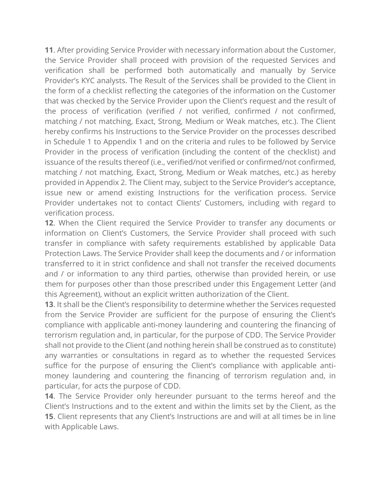**11**. After providing Service Provider with necessary information about the Customer, the Service Provider shall proceed with provision of the requested Services and verification shall be performed both automatically and manually by Service Provider's KYC analysts. The Result of the Services shall be provided to the Client in the form of a checklist reflecting the categories of the information on the Customer that was checked by the Service Provider upon the Client's request and the result of the process of verification (verified / not verified, confirmed / not confirmed, matching / not matching, Exact, Strong, Medium or Weak matches, etc.). The Client hereby confirms his Instructions to the Service Provider on the processes described in Schedule 1 to Appendix 1 and on the criteria and rules to be followed by Service Provider in the process of verification (including the content of the checklist) and issuance of the results thereof (i.e., verified/not verified or confirmed/not confirmed, matching / not matching, Exact, Strong, Medium or Weak matches, etc.) as hereby provided in Appendix 2. The Client may, subject to the Service Provider's acceptance, issue new or amend existing Instructions for the verification process. Service Provider undertakes not to contact Clients' Customers, including with regard to verification process.

**12**. When the Client required the Service Provider to transfer any documents or information on Client's Customers, the Service Provider shall proceed with such transfer in compliance with safety requirements established by applicable Data Protection Laws. The Service Provider shall keep the documents and / or information transferred to it in strict confidence and shall not transfer the received documents and / or information to any third parties, otherwise than provided herein, or use them for purposes other than those prescribed under this Engagement Letter (and this Agreement), without an explicit written authorization of the Client.

**13**. It shall be the Client's responsibility to determine whether the Services requested from the Service Provider are sufficient for the purpose of ensuring the Client's compliance with applicable anti-money laundering and countering the financing of terrorism regulation and, in particular, for the purpose of CDD. The Service Provider shall not provide to the Client (and nothing herein shall be construed as to constitute) any warranties or consultations in regard as to whether the requested Services suffice for the purpose of ensuring the Client's compliance with applicable antimoney laundering and countering the financing of terrorism regulation and, in particular, for acts the purpose of CDD.

**14**. The Service Provider only hereunder pursuant to the terms hereof and the Client's Instructions and to the extent and within the limits set by the Client, as the **15**. Client represents that any Client's Instructions are and will at all times be in line with Applicable Laws.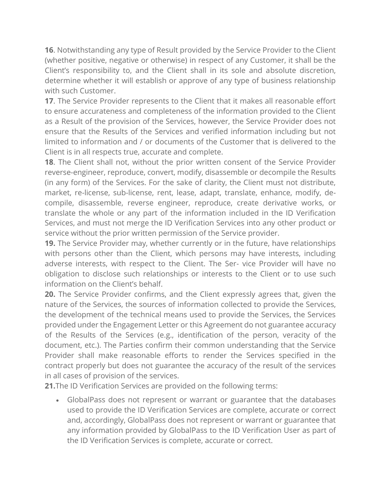**16**. Notwithstanding any type of Result provided by the Service Provider to the Client (whether positive, negative or otherwise) in respect of any Customer, it shall be the Client's responsibility to, and the Client shall in its sole and absolute discretion, determine whether it will establish or approve of any type of business relationship with such Customer.

**17**. The Service Provider represents to the Client that it makes all reasonable effort to ensure accurateness and completeness of the information provided to the Client as a Result of the provision of the Services, however, the Service Provider does not ensure that the Results of the Services and verified information including but not limited to information and / or documents of the Customer that is delivered to the Client is in all respects true, accurate and complete.

**18**. The Client shall not, without the prior written consent of the Service Provider reverse-engineer, reproduce, convert, modify, disassemble or decompile the Results (in any form) of the Services. For the sake of clarity, the Client must not distribute, market, re-license, sub-license, rent, lease, adapt, translate, enhance, modify, decompile, disassemble, reverse engineer, reproduce, create derivative works, or translate the whole or any part of the information included in the ID Verification Services, and must not merge the ID Verification Services into any other product or service without the prior written permission of the Service provider.

**19.** The Service Provider may, whether currently or in the future, have relationships with persons other than the Client, which persons may have interests, including adverse interests, with respect to the Client. The Ser- vice Provider will have no obligation to disclose such relationships or interests to the Client or to use such information on the Client's behalf.

**20.** The Service Provider confirms, and the Client expressly agrees that, given the nature of the Services, the sources of information collected to provide the Services, the development of the technical means used to provide the Services, the Services provided under the Engagement Letter or this Agreement do not guarantee accuracy of the Results of the Services (e.g., identification of the person, veracity of the document, etc.). The Parties confirm their common understanding that the Service Provider shall make reasonable efforts to render the Services specified in the contract properly but does not guarantee the accuracy of the result of the services in all cases of provision of the services.

**21.**The ID Verification Services are provided on the following terms:

• GlobalPass does not represent or warrant or guarantee that the databases used to provide the ID Verification Services are complete, accurate or correct and, accordingly, GlobalPass does not represent or warrant or guarantee that any information provided by GlobalPass to the ID Verification User as part of the ID Verification Services is complete, accurate or correct.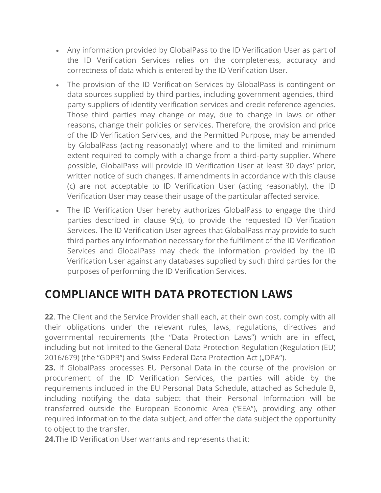- Any information provided by GlobalPass to the ID Verification User as part of the ID Verification Services relies on the completeness, accuracy and correctness of data which is entered by the ID Verification User.
- The provision of the ID Verification Services by GlobalPass is contingent on data sources supplied by third parties, including government agencies, thirdparty suppliers of identity verification services and credit reference agencies. Those third parties may change or may, due to change in laws or other reasons, change their policies or services. Therefore, the provision and price of the ID Verification Services, and the Permitted Purpose, may be amended by GlobalPass (acting reasonably) where and to the limited and minimum extent required to comply with a change from a third-party supplier. Where possible, GlobalPass will provide ID Verification User at least 30 days' prior, written notice of such changes. If amendments in accordance with this clause (c) are not acceptable to ID Verification User (acting reasonably), the ID Verification User may cease their usage of the particular affected service.
- The ID Verification User hereby authorizes GlobalPass to engage the third parties described in clause 9(c), to provide the requested ID Verification Services. The ID Verification User agrees that GlobalPass may provide to such third parties any information necessary for the fulfilment of the ID Verification Services and GlobalPass may check the information provided by the ID Verification User against any databases supplied by such third parties for the purposes of performing the ID Verification Services.

## **COMPLIANCE WITH DATA PROTECTION LAWS**

**22**. The Client and the Service Provider shall each, at their own cost, comply with all their obligations under the relevant rules, laws, regulations, directives and governmental requirements (the "Data Protection Laws") which are in effect, including but not limited to the General Data Protection Regulation (Regulation (EU) 2016/679) (the "GDPR") and Swiss Federal Data Protection Act ("DPA").

**23.** If GlobalPass processes EU Personal Data in the course of the provision or procurement of the ID Verification Services, the parties will abide by the requirements included in the EU Personal Data Schedule, attached as Schedule B, including notifying the data subject that their Personal Information will be transferred outside the European Economic Area ("EEA"), providing any other required information to the data subject, and offer the data subject the opportunity to object to the transfer.

**24.**The ID Verification User warrants and represents that it: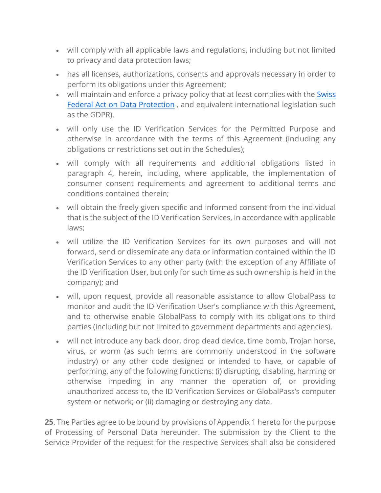- will comply with all applicable laws and regulations, including but not limited to privacy and data protection laws;
- has all licenses, authorizations, consents and approvals necessary in order to perform its obligations under this Agreement;
- will maintain and enforce a privacy policy that at least complies with the [Swiss](https://www.admin.ch/opc/en/classified-compilation/19920153/index.html) Federal Act on Data [Protection](https://www.admin.ch/opc/en/classified-compilation/19920153/index.html) , and equivalent international legislation such as the GDPR).
- will only use the ID Verification Services for the Permitted Purpose and otherwise in accordance with the terms of this Agreement (including any obligations or restrictions set out in the Schedules);
- will comply with all requirements and additional obligations listed in paragraph 4, herein, including, where applicable, the implementation of consumer consent requirements and agreement to additional terms and conditions contained therein;
- will obtain the freely given specific and informed consent from the individual that is the subject of the ID Verification Services, in accordance with applicable laws;
- will utilize the ID Verification Services for its own purposes and will not forward, send or disseminate any data or information contained within the ID Verification Services to any other party (with the exception of any Affiliate of the ID Verification User, but only for such time as such ownership is held in the company); and
- will, upon request, provide all reasonable assistance to allow GlobalPass to monitor and audit the ID Verification User's compliance with this Agreement, and to otherwise enable GlobalPass to comply with its obligations to third parties (including but not limited to government departments and agencies).
- will not introduce any back door, drop dead device, time bomb, Trojan horse, virus, or worm (as such terms are commonly understood in the software industry) or any other code designed or intended to have, or capable of performing, any of the following functions: (i) disrupting, disabling, harming or otherwise impeding in any manner the operation of, or providing unauthorized access to, the ID Verification Services or GlobalPass's computer system or network; or (ii) damaging or destroying any data.

**25**. The Parties agree to be bound by provisions of Appendix 1 hereto for the purpose of Processing of Personal Data hereunder. The submission by the Client to the Service Provider of the request for the respective Services shall also be considered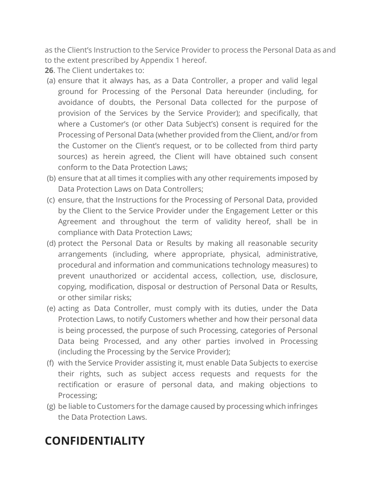as the Client's Instruction to the Service Provider to process the Personal Data as and to the extent prescribed by Appendix 1 hereof.

**26**. The Client undertakes to:

- (a) ensure that it always has, as a Data Controller, a proper and valid legal ground for Processing of the Personal Data hereunder (including, for avoidance of doubts, the Personal Data collected for the purpose of provision of the Services by the Service Provider); and specifically, that where a Customer's (or other Data Subject's) consent is required for the Processing of Personal Data (whether provided from the Client, and/or from the Customer on the Client's request, or to be collected from third party sources) as herein agreed, the Client will have obtained such consent conform to the Data Protection Laws;
- (b) ensure that at all times it complies with any other requirements imposed by Data Protection Laws on Data Controllers;
- (c) ensure, that the Instructions for the Processing of Personal Data, provided by the Client to the Service Provider under the Engagement Letter or this Agreement and throughout the term of validity hereof, shall be in compliance with Data Protection Laws;
- (d) protect the Personal Data or Results by making all reasonable security arrangements (including, where appropriate, physical, administrative, procedural and information and communications technology measures) to prevent unauthorized or accidental access, collection, use, disclosure, copying, modification, disposal or destruction of Personal Data or Results, or other similar risks;
- (e) acting as Data Controller, must comply with its duties, under the Data Protection Laws, to notify Customers whether and how their personal data is being processed, the purpose of such Processing, categories of Personal Data being Processed, and any other parties involved in Processing (including the Processing by the Service Provider);
- (f) with the Service Provider assisting it, must enable Data Subjects to exercise their rights, such as subject access requests and requests for the rectification or erasure of personal data, and making objections to Processing;
- (g) be liable to Customers for the damage caused by processing which infringes the Data Protection Laws.

## **CONFIDENTIALITY**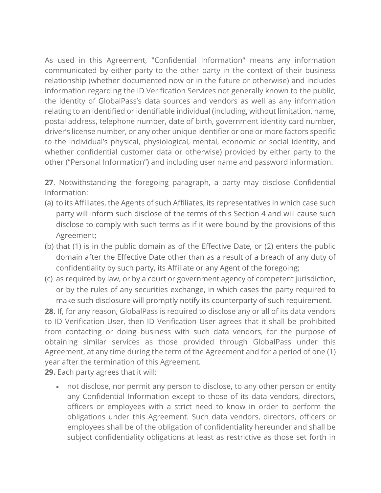As used in this Agreement, "Confidential Information" means any information communicated by either party to the other party in the context of their business relationship (whether documented now or in the future or otherwise) and includes information regarding the ID Verification Services not generally known to the public, the identity of GlobalPass's data sources and vendors as well as any information relating to an identified or identifiable individual (including, without limitation, name, postal address, telephone number, date of birth, government identity card number, driver's license number, or any other unique identifier or one or more factors specific to the individual's physical, physiological, mental, economic or social identity, and whether confidential customer data or otherwise) provided by either party to the other ("Personal Information") and including user name and password information.

**27**. Notwithstanding the foregoing paragraph, a party may disclose Confidential Information:

- (a) to its Affiliates, the Agents of such Affiliates, its representatives in which case such party will inform such disclose of the terms of this Section 4 and will cause such disclose to comply with such terms as if it were bound by the provisions of this Agreement;
- (b) that (1) is in the public domain as of the Effective Date, or (2) enters the public domain after the Effective Date other than as a result of a breach of any duty of confidentiality by such party, its Affiliate or any Agent of the foregoing;
- (c) as required by law, or by a court or government agency of competent jurisdiction, or by the rules of any securities exchange, in which cases the party required to make such disclosure will promptly notify its counterparty of such requirement.

**28.** If, for any reason, GlobalPass is required to disclose any or all of its data vendors to ID Verification User, then ID Verification User agrees that it shall be prohibited from contacting or doing business with such data vendors, for the purpose of obtaining similar services as those provided through GlobalPass under this Agreement, at any time during the term of the Agreement and for a period of one (1) year after the termination of this Agreement.

**29.** Each party agrees that it will:

• not disclose, nor permit any person to disclose, to any other person or entity any Confidential Information except to those of its data vendors, directors, officers or employees with a strict need to know in order to perform the obligations under this Agreement. Such data vendors, directors, officers or employees shall be of the obligation of confidentiality hereunder and shall be subject confidentiality obligations at least as restrictive as those set forth in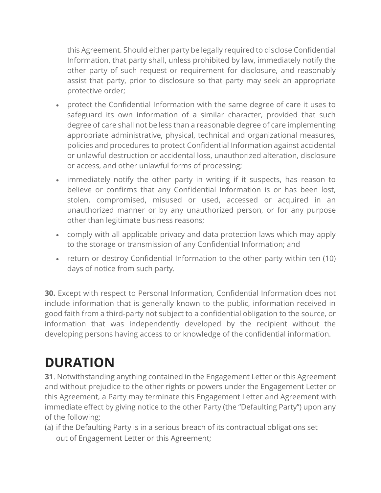this Agreement. Should either party be legally required to disclose Confidential Information, that party shall, unless prohibited by law, immediately notify the other party of such request or requirement for disclosure, and reasonably assist that party, prior to disclosure so that party may seek an appropriate protective order;

- protect the Confidential Information with the same degree of care it uses to safeguard its own information of a similar character, provided that such degree of care shall not be less than a reasonable degree of care implementing appropriate administrative, physical, technical and organizational measures, policies and procedures to protect Confidential Information against accidental or unlawful destruction or accidental loss, unauthorized alteration, disclosure or access, and other unlawful forms of processing;
- immediately notify the other party in writing if it suspects, has reason to believe or confirms that any Confidential Information is or has been lost, stolen, compromised, misused or used, accessed or acquired in an unauthorized manner or by any unauthorized person, or for any purpose other than legitimate business reasons;
- comply with all applicable privacy and data protection laws which may apply to the storage or transmission of any Confidential Information; and
- return or destroy Confidential Information to the other party within ten (10) days of notice from such party.

**30.** Except with respect to Personal Information, Confidential Information does not include information that is generally known to the public, information received in good faith from a third-party not subject to a confidential obligation to the source, or information that was independently developed by the recipient without the developing persons having access to or knowledge of the confidential information.

# **DURATION**

**31**. Notwithstanding anything contained in the Engagement Letter or this Agreement and without prejudice to the other rights or powers under the Engagement Letter or this Agreement, a Party may terminate this Engagement Letter and Agreement with immediate effect by giving notice to the other Party (the "Defaulting Party") upon any of the following:

(a) if the Defaulting Party is in a serious breach of its contractual obligations set out of Engagement Letter or this Agreement;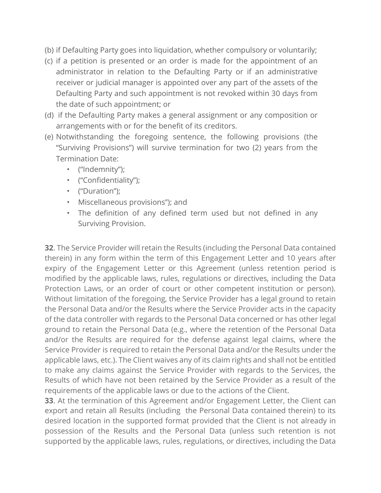- (b) if Defaulting Party goes into liquidation, whether compulsory or voluntarily;
- (c) if a petition is presented or an order is made for the appointment of an administrator in relation to the Defaulting Party or if an administrative receiver or judicial manager is appointed over any part of the assets of the Defaulting Party and such appointment is not revoked within 30 days from the date of such appointment; or
- (d) if the Defaulting Party makes a general assignment or any composition or arrangements with or for the benefit of its creditors.
- (e) Notwithstanding the foregoing sentence, the following provisions (the "Surviving Provisions") will survive termination for two (2) years from the Termination Date:
	- ("Indemnity");
	- ("Confidentiality");
	- ("Duration");
	- Miscellaneous provisions"); and
	- The definition of any defined term used but not defined in any Surviving Provision.

**32**. The Service Provider will retain the Results (including the Personal Data contained therein) in any form within the term of this Engagement Letter and 10 years after expiry of the Engagement Letter or this Agreement (unless retention period is modified by the applicable laws, rules, regulations or directives, including the Data Protection Laws, or an order of court or other competent institution or person). Without limitation of the foregoing, the Service Provider has a legal ground to retain the Personal Data and/or the Results where the Service Provider acts in the capacity of the data controller with regards to the Personal Data concerned or has other legal ground to retain the Personal Data (e.g., where the retention of the Personal Data and/or the Results are required for the defense against legal claims, where the Service Provider is required to retain the Personal Data and/or the Results under the applicable laws, etc.). The Client waives any of its claim rights and shall not be entitled to make any claims against the Service Provider with regards to the Services, the Results of which have not been retained by the Service Provider as a result of the requirements of the applicable laws or due to the actions of the Client.

**33**. At the termination of this Agreement and/or Engagement Letter, the Client can export and retain all Results (including the Personal Data contained therein) to its desired location in the supported format provided that the Client is not already in possession of the Results and the Personal Data (unless such retention is not supported by the applicable laws, rules, regulations, or directives, including the Data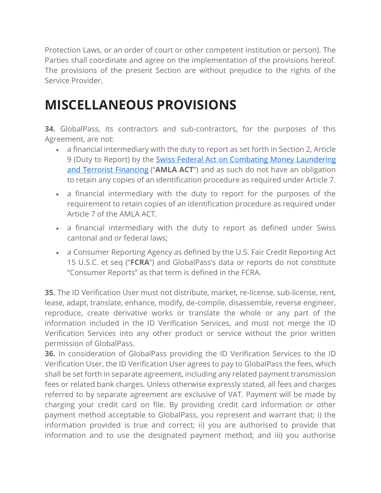Protection Laws, or an order of court or other competent institution or person). The Parties shall coordinate and agree on the implementation of the provisions hereof. The provisions of the present Section are without prejudice to the rights of the Service Provider.

# **MISCELLANEOUS PROVISIONS**

**34.** GlobalPass, its contractors and sub-contractors, for the purposes of this Agreement, are not:

- a financial intermediary with the duty to report as set forth in Section 2, Article 9 (Duty to Report) by the Swiss Federal Act on Combating Money [Laundering](https://www.admin.ch/opc/en/classified-compilation/19970427/index.html) and Terrorist [Financing](https://www.admin.ch/opc/en/classified-compilation/19970427/index.html) ("**AMLA ACT**") and as such do not have an obligation to retain any copies of an identification procedure as required under Article 7.
- a financial intermediary with the duty to report for the purposes of the requirement to retain copies of an identification procedure as required under Article 7 of the AMLA ACT.
- a financial intermediary with the duty to report as defined under Swiss cantonal and or federal laws;
- a Consumer Reporting Agency as defined by the U.S. Fair Credit Reporting Act 15 U.S.C. et seq ("**FCRA**") and GlobalPass's data or reports do not constitute "Consumer Reports" as that term is defined in the FCRA.

**35.** The ID Verification User must not distribute, market, re-license, sub-license, rent, lease, adapt, translate, enhance, modify, de-compile, disassemble, reverse engineer, reproduce, create derivative works or translate the whole or any part of the information included in the ID Verification Services, and must not merge the ID Verification Services into any other product or service without the prior written permission of GlobalPass.

**36.** In consideration of GlobalPass providing the ID Verification Services to the ID Verification User, the ID Verification User agrees to pay to GlobalPass the fees, which shall be set forth in separate agreement, including any related payment transmission fees or related bank charges. Unless otherwise expressly stated, all fees and charges referred to by separate agreement are exclusive of VAT. Payment will be made by charging your credit card on file. By providing credit card information or other payment method acceptable to GlobalPass, you represent and warrant that; i) the information provided is true and correct; ii) you are authorised to provide that information and to use the designated payment method; and iii) you authorise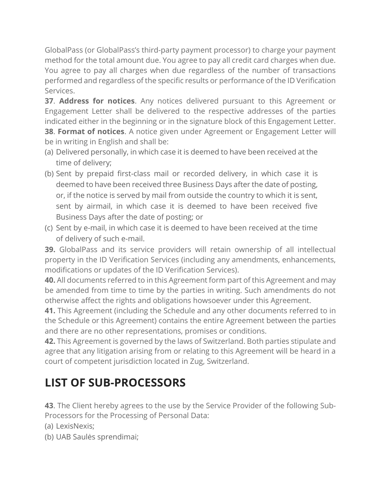GlobalPass (or GlobalPass's third-party payment processor) to charge your payment method for the total amount due. You agree to pay all credit card charges when due. You agree to pay all charges when due regardless of the number of transactions performed and regardless of the specific results or performance of the ID Verification Services.

**37**. **Address for notices**. Any notices delivered pursuant to this Agreement or Engagement Letter shall be delivered to the respective addresses of the parties indicated either in the beginning or in the signature block of this Engagement Letter. **38**. **Format of notices**. A notice given under Agreement or Engagement Letter will be in writing in English and shall be:

- (a) Delivered personally, in which case it is deemed to have been received at the time of delivery;
- (b) Sent by prepaid first-class mail or recorded delivery, in which case it is deemed to have been received three Business Days after the date of posting, or, if the notice is served by mail from outside the country to which it is sent, sent by airmail, in which case it is deemed to have been received five Business Days after the date of posting; or
- (c) Sent by e-mail, in which case it is deemed to have been received at the time of delivery of such e-mail.

**39.** GlobalPass and its service providers will retain ownership of all intellectual property in the ID Verification Services (including any amendments, enhancements, modifications or updates of the ID Verification Services).

**40.** All documents referred to in this Agreement form part of this Agreement and may be amended from time to time by the parties in writing. Such amendments do not otherwise affect the rights and obligations howsoever under this Agreement.

**41.** This Agreement (including the Schedule and any other documents referred to in the Schedule or this Agreement) contains the entire Agreement between the parties and there are no other representations, promises or conditions.

**42.** This Agreement is governed by the laws of Switzerland. Both parties stipulate and agree that any litigation arising from or relating to this Agreement will be heard in a court of competent jurisdiction located in Zug, Switzerland.

## **LIST OF SUB-PROCESSORS**

**43**. The Client hereby agrees to the use by the Service Provider of the following Sub-Processors for the Processing of Personal Data:

- (a) LexisNexis;
- (b) UAB Saulės sprendimai;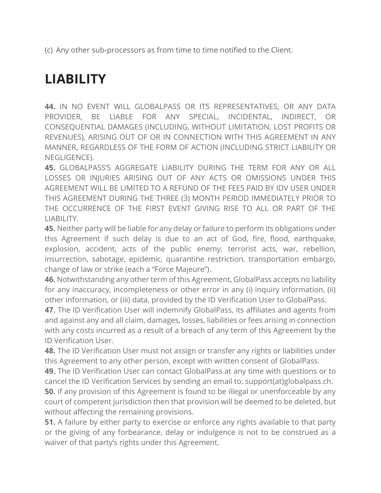(c) Any other sub-processors as from time to time notified to the Client.

# **LIABILITY**

**44.** IN NO EVENT WILL GLOBALPASS OR ITS REPRESENTATIVES, OR ANY DATA PROVIDER, BE LIABLE FOR ANY SPECIAL, INCIDENTAL, INDIRECT, OR CONSEQUENTIAL DAMAGES (INCLUDING, WITHOUT LIMITATION, LOST PROFITS OR REVENUES), ARISING OUT OF OR IN CONNECTION WITH THIS AGREEMENT IN ANY MANNER, REGARDLESS OF THE FORM OF ACTION (INCLUDING STRICT LIABILITY OR NEGLIGENCE).

**45.** GLOBALPASS'S AGGREGATE LIABILITY DURING THE TERM FOR ANY OR ALL LOSSES OR INJURIES ARISING OUT OF ANY ACTS OR OMISSIONS UNDER THIS AGREEMENT WILL BE LIMITED TO A REFUND OF THE FEES PAID BY IDV USER UNDER THIS AGREEMENT DURING THE THREE (3) MONTH PERIOD IMMEDIATELY PRIOR TO THE OCCURRENCE OF THE FIRST EVENT GIVING RISE TO ALL OR PART OF THE LIABILITY.

**45.** Neither party will be liable for any delay or failure to perform its obligations under this Agreement if such delay is due to an act of God, fire, flood, earthquake, explosion, accident, acts of the public enemy, terrorist acts, war, rebellion, insurrection, sabotage, epidemic, quarantine restriction, transportation embargo, change of law or strike (each a "Force Majeure").

**46.** Notwithstanding any other term of this Agreement, GlobalPass accepts no liability for any inaccuracy, incompleteness or other error in any (i) inquiry information, (ii) other information, or (iii) data, provided by the ID Verification User to GlobalPass.

**47.** The ID Verification User will indemnify GlobalPass, its affiliates and agents from and against any and all claim, damages, losses, liabilities or fees arising in connection with any costs incurred as a result of a breach of any term of this Agreement by the ID Verification User.

**48.** The ID Verification User must not assign or transfer any rights or liabilities under this Agreement to any other person, except with written consent of GlobalPass.

**49.** The ID Verification User can contact GlobalPass at any time with questions or to cancel the ID Verification Services by sending an email to: support(at)globalpass.ch.

**50.** If any provision of this Agreement is found to be illegal or unenforceable by any court of competent jurisdiction then that provision will be deemed to be deleted, but without affecting the remaining provisions.

**51.** A failure by either party to exercise or enforce any rights available to that party or the giving of any forbearance, delay or indulgence is not to be construed as a waiver of that party's rights under this Agreement.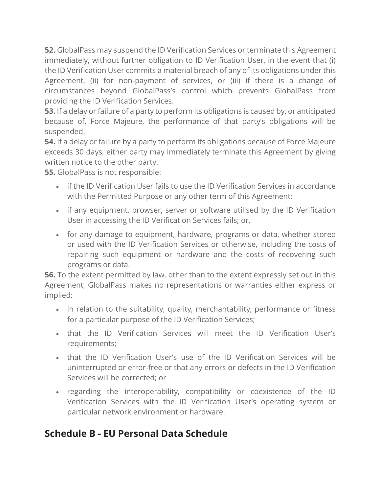**52.** GlobalPass may suspend the ID Verification Services or terminate this Agreement immediately, without further obligation to ID Verification User, in the event that (i) the ID Verification User commits a material breach of any of its obligations under this Agreement, (ii) for non-payment of services, or (iii) if there is a change of circumstances beyond GlobalPass's control which prevents GlobalPass from providing the ID Verification Services.

**53.** If a delay or failure of a party to perform its obligations is caused by, or anticipated because of, Force Majeure, the performance of that party's obligations will be suspended.

**54.** If a delay or failure by a party to perform its obligations because of Force Majeure exceeds 30 days, either party may immediately terminate this Agreement by giving written notice to the other party.

**55.** GlobalPass is not responsible:

- if the ID Verification User fails to use the ID Verification Services in accordance with the Permitted Purpose or any other term of this Agreement;
- if any equipment, browser, server or software utilised by the ID Verification User in accessing the ID Verification Services fails; or,
- for any damage to equipment, hardware, programs or data, whether stored or used with the ID Verification Services or otherwise, including the costs of repairing such equipment or hardware and the costs of recovering such programs or data.

**56.** To the extent permitted by law, other than to the extent expressly set out in this Agreement, GlobalPass makes no representations or warranties either express or implied:

- in relation to the suitability, quality, merchantability, performance or fitness for a particular purpose of the ID Verification Services;
- that the ID Verification Services will meet the ID Verification User's requirements;
- that the ID Verification User's use of the ID Verification Services will be uninterrupted or error-free or that any errors or defects in the ID Verification Services will be corrected; or
- regarding the interoperability, compatibility or coexistence of the ID Verification Services with the ID Verification User's operating system or particular network environment or hardware.

#### **Schedule B - EU Personal Data Schedule**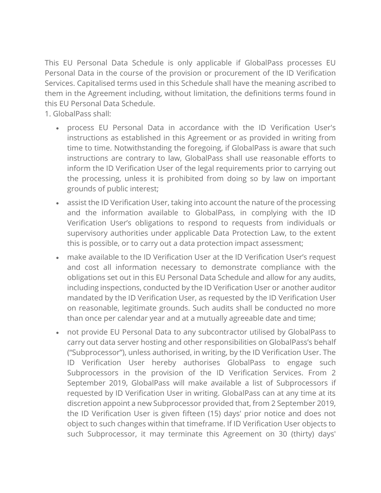This EU Personal Data Schedule is only applicable if GlobalPass processes EU Personal Data in the course of the provision or procurement of the ID Verification Services. Capitalised terms used in this Schedule shall have the meaning ascribed to them in the Agreement including, without limitation, the definitions terms found in this EU Personal Data Schedule.

1. GlobalPass shall:

- process EU Personal Data in accordance with the ID Verification User's instructions as established in this Agreement or as provided in writing from time to time. Notwithstanding the foregoing, if GlobalPass is aware that such instructions are contrary to law, GlobalPass shall use reasonable efforts to inform the ID Verification User of the legal requirements prior to carrying out the processing, unless it is prohibited from doing so by law on important grounds of public interest;
- assist the ID Verification User, taking into account the nature of the processing and the information available to GlobalPass, in complying with the ID Verification User's obligations to respond to requests from individuals or supervisory authorities under applicable Data Protection Law, to the extent this is possible, or to carry out a data protection impact assessment;
- make available to the ID Verification User at the ID Verification User's request and cost all information necessary to demonstrate compliance with the obligations set out in this EU Personal Data Schedule and allow for any audits, including inspections, conducted by the ID Verification User or another auditor mandated by the ID Verification User, as requested by the ID Verification User on reasonable, legitimate grounds. Such audits shall be conducted no more than once per calendar year and at a mutually agreeable date and time;
- not provide EU Personal Data to any subcontractor utilised by GlobalPass to carry out data server hosting and other responsibilities on GlobalPass's behalf ("Subprocessor"), unless authorised, in writing, by the ID Verification User. The ID Verification User hereby authorises GlobalPass to engage such Subprocessors in the provision of the ID Verification Services. From 2 September 2019, GlobalPass will make available a list of Subprocessors if requested by ID Verification User in writing. GlobalPass can at any time at its discretion appoint a new Subprocessor provided that, from 2 September 2019, the ID Verification User is given fifteen (15) days' prior notice and does not object to such changes within that timeframe. If ID Verification User objects to such Subprocessor, it may terminate this Agreement on 30 (thirty) days'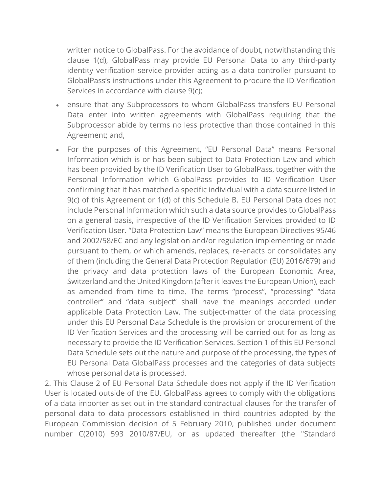written notice to GlobalPass. For the avoidance of doubt, notwithstanding this clause 1(d), GlobalPass may provide EU Personal Data to any third-party identity verification service provider acting as a data controller pursuant to GlobalPass's instructions under this Agreement to procure the ID Verification Services in accordance with clause 9(c);

- ensure that any Subprocessors to whom GlobalPass transfers EU Personal Data enter into written agreements with GlobalPass requiring that the Subprocessor abide by terms no less protective than those contained in this Agreement; and,
- For the purposes of this Agreement, "EU Personal Data" means Personal Information which is or has been subject to Data Protection Law and which has been provided by the ID Verification User to GlobalPass, together with the Personal Information which GlobalPass provides to ID Verification User confirming that it has matched a specific individual with a data source listed in 9(c) of this Agreement or 1(d) of this Schedule B. EU Personal Data does not include Personal Information which such a data source provides to GlobalPass on a general basis, irrespective of the ID Verification Services provided to ID Verification User. "Data Protection Law" means the European Directives 95/46 and 2002/58/EC and any legislation and/or regulation implementing or made pursuant to them, or which amends, replaces, re-enacts or consolidates any of them (including the General Data Protection Regulation (EU) 2016/679) and the privacy and data protection laws of the European Economic Area, Switzerland and the United Kingdom (after it leaves the European Union), each as amended from time to time. The terms "process", "processing" "data controller" and "data subject" shall have the meanings accorded under applicable Data Protection Law. The subject-matter of the data processing under this EU Personal Data Schedule is the provision or procurement of the ID Verification Services and the processing will be carried out for as long as necessary to provide the ID Verification Services. Section 1 of this EU Personal Data Schedule sets out the nature and purpose of the processing, the types of EU Personal Data GlobalPass processes and the categories of data subjects whose personal data is processed.

2. This Clause 2 of EU Personal Data Schedule does not apply if the ID Verification User is located outside of the EU. GlobalPass agrees to comply with the obligations of a data importer as set out in the standard contractual clauses for the transfer of personal data to data processors established in third countries adopted by the European Commission decision of 5 February 2010, published under document number C(2010) 593 2010/87/EU, or as updated thereafter (the "Standard